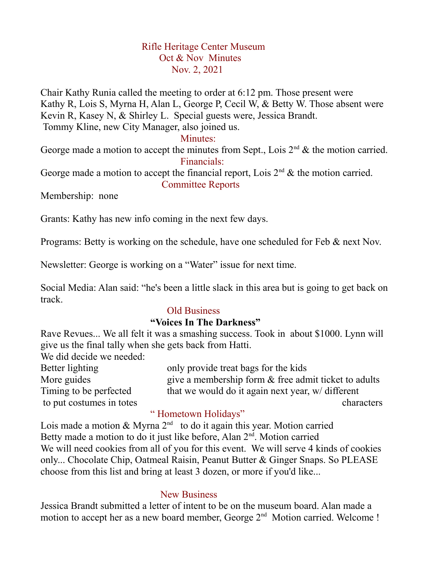# Rifle Heritage Center Museum Oct & Nov Minutes Nov. 2, 2021

Chair Kathy Runia called the meeting to order at 6:12 pm. Those present were Kathy R, Lois S, Myrna H, Alan L, George P, Cecil W, & Betty W. Those absent were Kevin R, Kasey N, & Shirley L. Special guests were, Jessica Brandt. Tommy Kline, new City Manager, also joined us.

#### Minutes:

George made a motion to accept the minutes from Sept., Lois  $2<sup>nd</sup>$  & the motion carried. Financials:

George made a motion to accept the financial report, Lois  $2<sup>nd</sup>$  & the motion carried. Committee Reports

Membership: none

Grants: Kathy has new info coming in the next few days.

Programs: Betty is working on the schedule, have one scheduled for Feb & next Nov.

Newsletter: George is working on a "Water" issue for next time.

Social Media: Alan said: "he's been a little slack in this area but is going to get back on track.

#### Old Business

## **"Voices In The Darkness"**

Rave Revues... We all felt it was a smashing success. Took in about \$1000. Lynn will give us the final tally when she gets back from Hatti.

We did decide we needed:

Better lighting only provide treat bags for the kids More guides give a membership form  $\&$  free admit ticket to adults Timing to be perfected that we would do it again next year, w/ different to put costumes in totes characters characters

#### " Hometown Holidays"

Lois made a motion & Myrna  $2^{nd}$  to do it again this year. Motion carried Betty made a motion to do it just like before, Alan 2<sup>nd</sup>. Motion carried We will need cookies from all of you for this event. We will serve 4 kinds of cookies only... Chocolate Chip, Oatmeal Raisin, Peanut Butter & Ginger Snaps. So PLEASE choose from this list and bring at least 3 dozen, or more if you'd like...

## New Business

Jessica Brandt submitted a letter of intent to be on the museum board. Alan made a motion to accept her as a new board member, George 2<sup>nd</sup> Motion carried. Welcome !